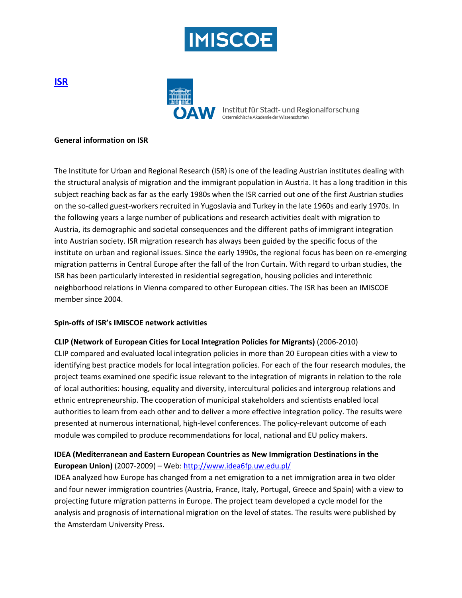



**AW** Institut für Stadt- und Regionalforschung Österreichische Akademie der Wissenschaften

#### **General information on ISR**

The Institute for Urban and Regional Research (ISR) is one of the leading Austrian institutes dealing with the structural analysis of migration and the immigrant population in Austria. It has a long tradition in this subject reaching back as far as the early 1980s when the ISR carried out one of the first Austrian studies on the so-called guest-workers recruited in Yugoslavia and Turkey in the late 1960s and early 1970s. In the following years a large number of publications and research activities dealt with migration to Austria, its demographic and societal consequences and the different paths of immigrant integration into Austrian society. ISR migration research has always been guided by the specific focus of the institute on urban and regional issues. Since the early 1990s, the regional focus has been on re-emerging migration patterns in Central Europe after the fall of the Iron Curtain. With regard to urban studies, the ISR has been particularly interested in residential segregation, housing policies and interethnic neighborhood relations in Vienna compared to other European cities. The ISR has been an IMISCOE member since 2004.

### **Spin-offs of ISR's IMISCOE network activities**

### **CLIP (Network of European Cities for Local Integration Policies for Migrants)** (2006-2010)

CLIP compared and evaluated local integration policies in more than 20 European cities with a view to identifying best practice models for local integration policies. For each of the four research modules, the project teams examined one specific issue relevant to the integration of migrants in relation to the role of local authorities: housing, equality and diversity, intercultural policies and intergroup relations and ethnic entrepreneurship. The cooperation of municipal stakeholders and scientists enabled local authorities to learn from each other and to deliver a more effective integration policy. The results were presented at numerous international, high-level conferences. The policy-relevant outcome of each module was compiled to produce recommendations for local, national and EU policy makers.

# **IDEA (Mediterranean and Eastern European Countries as New Immigration Destinations in the European Union)** (2007-2009) – Web:<http://www.idea6fp.uw.edu.pl/>

IDEA analyzed how Europe has changed from a net emigration to a net immigration area in two older and four newer immigration countries (Austria, France, Italy, Portugal, Greece and Spain) with a view to projecting future migration patterns in Europe. The project team developed a cycle model for the analysis and prognosis of international migration on the level of states. The results were published by the Amsterdam University Press.